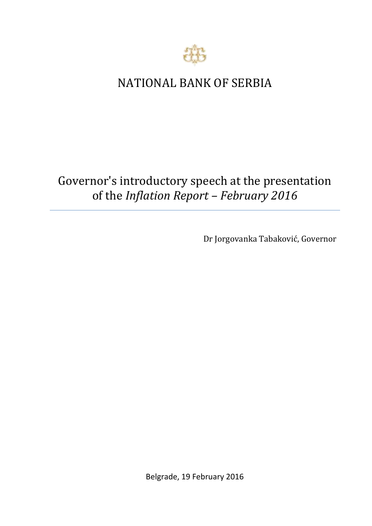

## NATIONAL BANK OF SERBIA

## Governor's introductory speech at the presentation of the *Inflation Report – February 2016*

Dr Jorgovanka Tabaković, Governor

Belgrade, 19 February 2016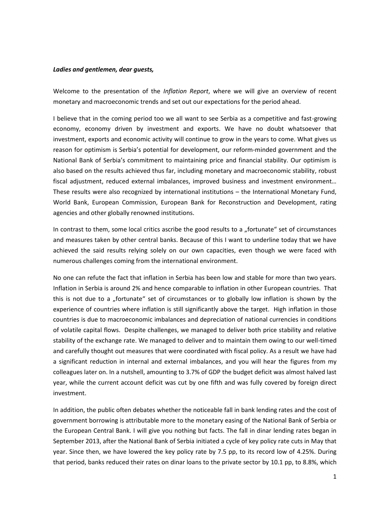## *Ladies and gentlemen, dear guests,*

Welcome to the presentation of the *Inflation Report*, where we will give an overview of recent monetary and macroeconomic trends and set out our expectations for the period ahead.

I believe that in the coming period too we all want to see Serbia as a competitive and fast-growing economy, economy driven by investment and exports. We have no doubt whatsoever that investment, exports and economic activity will continue to grow in the years to come. What gives us reason for optimism is Serbia's potential for development, our reform-minded government and the National Bank of Serbia's commitment to maintaining price and financial stability. Our optimism is also based on the results achieved thus far, including monetary and macroeconomic stability, robust fiscal adjustment, reduced external imbalances, improved business and investment environment… These results were also recognized by international institutions – the International Monetary Fund, World Bank, European Commission, European Bank for Reconstruction and Development, rating agencies and other globally renowned institutions.

In contrast to them, some local critics ascribe the good results to a "fortunate" set of circumstances and measures taken by other central banks. Because of this I want to underline today that we have achieved the said results relying solely on our own capacities, even though we were faced with numerous challenges coming from the international environment.

No one can refute the fact that inflation in Serbia has been low and stable for more than two years. Inflation in Serbia is around 2% and hence comparable to inflation in other European countries. That this is not due to a "fortunate" set of circumstances or to globally low inflation is shown by the experience of countries where inflation is still significantly above the target. High inflation in those countries is due to macroeconomic imbalances and depreciation of national currencies in conditions of volatile capital flows. Despite challenges, we managed to deliver both price stability and relative stability of the exchange rate. We managed to deliver and to maintain them owing to our well-timed and carefully thought out measures that were coordinated with fiscal policy. As a result we have had a significant reduction in internal and external imbalances, and you will hear the figures from my colleagues later on. In a nutshell, amounting to 3.7% of GDP the budget deficit was almost halved last year, while the current account deficit was cut by one fifth and was fully covered by foreign direct investment.

In addition, the public often debates whether the noticeable fall in bank lending rates and the cost of government borrowing is attributable more to the monetary easing of the National Bank of Serbia or the European Central Bank. I will give you nothing but facts. The fall in dinar lending rates began in September 2013, after the National Bank of Serbia initiated a cycle of key policy rate cuts in May that year. Since then, we have lowered the key policy rate by 7.5 pp, to its record low of 4.25%. During that period, banks reduced their rates on dinar loans to the private sector by 10.1 pp, to 8.8%, which